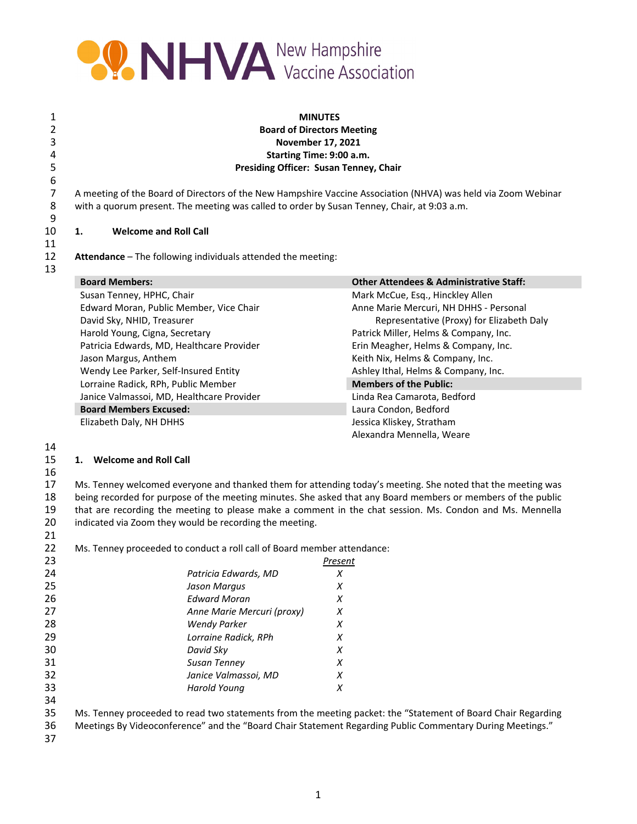

| 1<br>2<br>3<br>4 |                                                                                             | <b>MINUTES</b><br><b>Board of Directors Meeting</b><br><b>November 17, 2021</b><br>Starting Time: 9:00 a.m.   |  |
|------------------|---------------------------------------------------------------------------------------------|---------------------------------------------------------------------------------------------------------------|--|
| 5                | Presiding Officer: Susan Tenney, Chair                                                      |                                                                                                               |  |
| 6<br>7<br>8<br>9 | with a quorum present. The meeting was called to order by Susan Tenney, Chair, at 9:03 a.m. | A meeting of the Board of Directors of the New Hampshire Vaccine Association (NHVA) was held via Zoom Webinar |  |
| 10               | <b>Welcome and Roll Call</b><br>1.                                                          |                                                                                                               |  |
| 11               |                                                                                             |                                                                                                               |  |
| 12               | Attendance - The following individuals attended the meeting:                                |                                                                                                               |  |
| 13               |                                                                                             |                                                                                                               |  |
|                  | <b>Board Members:</b>                                                                       | <b>Other Attendees &amp; Administrative Staff:</b>                                                            |  |
|                  | Susan Tenney, HPHC, Chair                                                                   | Mark McCue, Esq., Hinckley Allen                                                                              |  |
|                  | Edward Moran, Public Member, Vice Chair                                                     | Anne Marie Mercuri, NH DHHS - Personal                                                                        |  |
|                  | David Sky, NHID, Treasurer                                                                  | Representative (Proxy) for Elizabeth Daly                                                                     |  |
|                  | Harold Young, Cigna, Secretary                                                              | Patrick Miller, Helms & Company, Inc.                                                                         |  |
|                  | Patricia Edwards, MD, Healthcare Provider                                                   | Erin Meagher, Helms & Company, Inc.                                                                           |  |
|                  | Jason Margus, Anthem                                                                        | Keith Nix, Helms & Company, Inc.                                                                              |  |
|                  | Wendy Lee Parker, Self-Insured Entity                                                       | Ashley Ithal, Helms & Company, Inc.                                                                           |  |
|                  | Lorraine Radick, RPh, Public Member                                                         | <b>Members of the Public:</b>                                                                                 |  |
|                  | Janice Valmassoi, MD, Healthcare Provider                                                   | Linda Rea Camarota, Bedford                                                                                   |  |
|                  | <b>Board Members Excused:</b>                                                               | Laura Condon, Bedford                                                                                         |  |
|                  | Elizabeth Daly, NH DHHS                                                                     | Jessica Kliskey, Stratham                                                                                     |  |
|                  |                                                                                             | Alexandra Mennella, Weare                                                                                     |  |

### 

### **1. Welcome and Roll Call**

# 

 Ms. Tenney welcomed everyone and thanked them for attending today's meeting. She noted that the meeting was 18 being recorded for purpose of the meeting minutes. She asked that any Board members or members of the public<br>19 that are recording the meeting to please make a comment in the chat session. Ms. Condon and Ms. Mennella 19 that are recording the meeting to please make a comment in the chat session. Ms. Condon and Ms. Mennella 20 indicated via Zoom they would be recording the meeting. indicated via Zoom they would be recording the meeting.

| 22. | Ms. Tenney proceeded to conduct a roll call of Board member attendance: |  |  |
|-----|-------------------------------------------------------------------------|--|--|
|-----|-------------------------------------------------------------------------|--|--|

| 23 |                            | Present |
|----|----------------------------|---------|
| 24 | Patricia Edwards, MD       | х       |
| 25 | Jason Marqus               | x       |
| 26 | Edward Moran               | Х       |
| 27 | Anne Marie Mercuri (proxy) | X       |
| 28 | <b>Wendy Parker</b>        | x       |
| 29 | Lorraine Radick, RPh       | x       |
| 30 | David Sky                  | x       |
| 31 | <b>Susan Tenney</b>        | X       |
| 32 | Janice Valmassoi, MD       | Х       |
| 33 | Harold Young               | Х       |
| 34 |                            |         |

 Ms. Tenney proceeded to read two statements from the meeting packet: the "Statement of Board Chair Regarding Meetings By Videoconference" and the "Board Chair Statement Regarding Public Commentary During Meetings."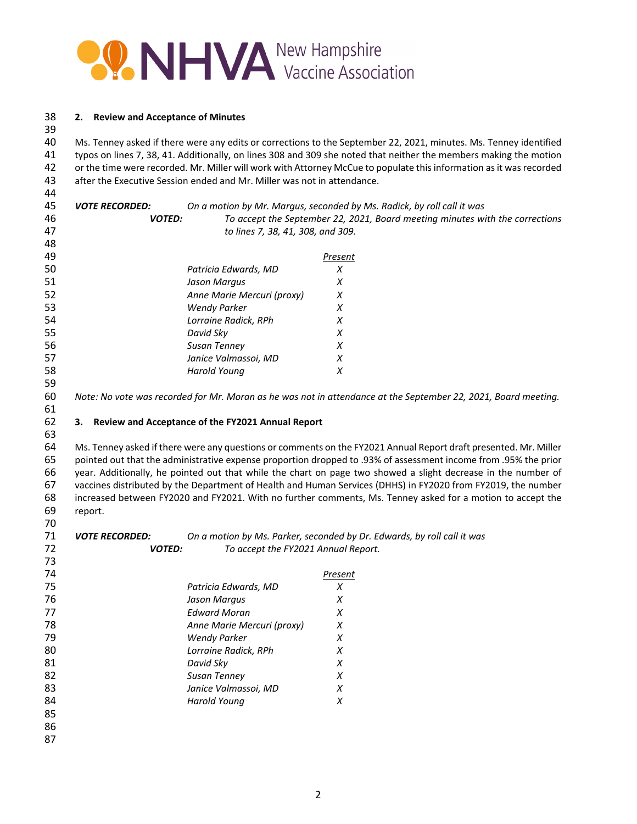

### **2. Review and Acceptance of Minutes**

 Ms. Tenney asked if there were any edits or corrections to the September 22, 2021, minutes. Ms. Tenney identified typos on lines 7, 38, 41. Additionally, on lines 308 and 309 she noted that neither the members making the motion 42 or the time were recorded. Mr. Miller will work with Attorney McCue to populate this information as it was recorded after the Executive Session ended and Mr. Miller was not in attendance.

 *VOTE RECORDED: On a motion by Mr. Margus, seconded by Ms. Radick, by roll call it was VOTED: To accept the September 22, 2021, Board meeting minutes with the corrections to lines 7, 38, 41, 308, and 309. Present Patricia Edwards, MD X Jason Margus X Anne Marie Mercuri (proxy) X* 

 *Wendy Parker X Lorraine Radick, RPh X David Sky X Susan Tenney X Janice Valmassoi, MD X Harold Young X* 

60 Note: No vote was recorded for Mr. Moran as he was not in attendance at the September 22, 2021, Board meeting.

### **3. Review and Acceptance of the FY2021 Annual Report**

 Ms. Tenney asked if there were any questions or comments on the FY2021 Annual Report draft presented. Mr. Miller pointed out that the administrative expense proportion dropped to .93% of assessment income from .95% the prior year. Additionally, he pointed out that while the chart on page two showed a slight decrease in the number of vaccines distributed by the Department of Health and Human Services (DHHS) in FY2020 from FY2019, the number increased between FY2020 and FY2021. With no further comments, Ms. Tenney asked for a motion to accept the report. 

 *VOTE RECORDED: On a motion by Ms. Parker, seconded by Dr. Edwards, by roll call it was VOTED: To accept the FY2021 Annual Report.*  

| ر ، |                            |         |  |
|-----|----------------------------|---------|--|
| 74  |                            | Present |  |
| 75  | Patricia Edwards, MD       | Х       |  |
| 76  | Jason Margus               | X       |  |
| 77  | <b>Edward Moran</b>        | X       |  |
| 78  | Anne Marie Mercuri (proxy) | X       |  |
| 79  | <b>Wendy Parker</b>        | X       |  |
| 80  | Lorraine Radick, RPh       | X       |  |
| 81  | David Sky                  | X       |  |
| 82  | Susan Tenney               | X       |  |
| 83  | Janice Valmassoi, MD       | X       |  |
| 84  | Harold Young               | X       |  |
| 85  |                            |         |  |
| 86  |                            |         |  |
| 87  |                            |         |  |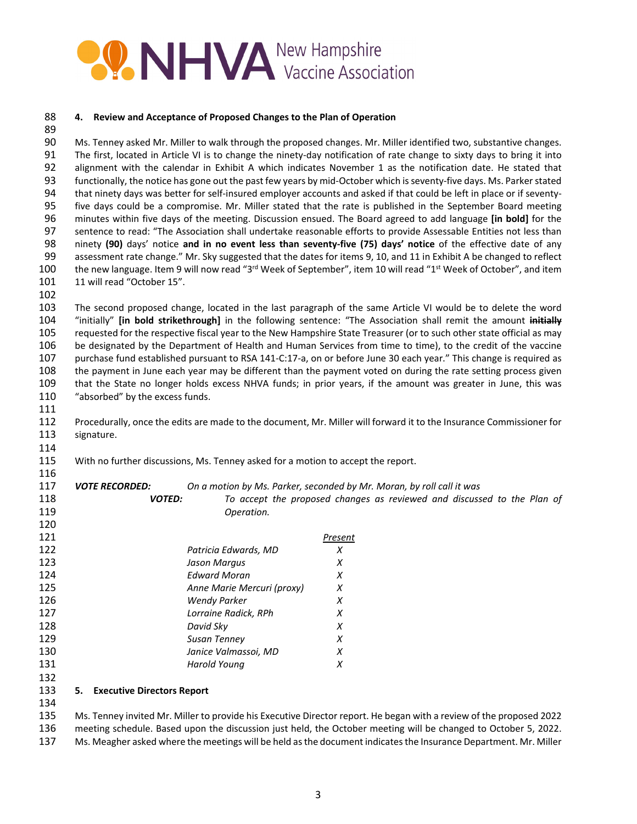

#### **4. Review and Acceptance of Proposed Changes to the Plan of Operation**

 Ms. Tenney asked Mr. Miller to walk through the proposed changes. Mr. Miller identified two, substantive changes. 91 The first, located in Article VI is to change the ninety-day notification of rate change to sixty days to bring it into alignment with the calendar in Exhibit A which indicates November 1 as the notification date. He stated that 93 functionally, the notice has gone out the past few years by mid-October which is seventy-five days. Ms. Parker stated 94 that ninety days was better for self-insured employer accounts and asked if that could be left in place or if seventy- five days could be a compromise. Mr. Miller stated that the rate is published in the September Board meeting minutes within five days of the meeting. Discussion ensued. The Board agreed to add language **[in bold]** for the sentence to read: "The Association shall undertake reasonable efforts to provide Assessable Entities not less than ninety **(90)** days' notice **and in no event less than seventy‐five (75) days' notice** of the effective date of any assessment rate change." Mr. Sky suggested that the dates for items 9, 10, and 11 in Exhibit A be changed to reflect 100 the new language. Item 9 will now read "3<sup>rd</sup> Week of September", item 10 will read "1<sup>st</sup> Week of October", and item 101 11 will read "October 15".

 The second proposed change, located in the last paragraph of the same Article VI would be to delete the word "initially" **[in bold strikethrough]** in the following sentence: "The Association shall remit the amount **initially** requested for the respective fiscal year to the New Hampshire State Treasurer (or to such other state official as may be designated by the Department of Health and Human Services from time to time), to the credit of the vaccine 107 purchase fund established pursuant to RSA 141-C:17-a, on or before June 30 each year." This change is required as the payment in June each year may be different than the payment voted on during the rate setting process given that the State no longer holds excess NHVA funds; in prior years, if the amount was greater in June, this was "absorbed" by the excess funds.

 Procedurally, once the edits are made to the document, Mr. Miller will forward it to the Insurance Commissioner for signature.

With no further discussions, Ms. Tenney asked for a motion to accept the report.

 *VOTE RECORDED: On a motion by Ms. Parker, seconded by Mr. Moran, by roll call it was VOTED: To accept the proposed changes as reviewed and discussed to the Plan of Operation.* 

| 120 |                            |         |
|-----|----------------------------|---------|
| 121 |                            | Present |
| 122 | Patricia Edwards, MD       | Х       |
| 123 | Jason Margus               | X       |
| 124 | <b>Edward Moran</b>        | X       |
| 125 | Anne Marie Mercuri (proxy) | X       |
| 126 | <b>Wendy Parker</b>        | X       |
| 127 | Lorraine Radick, RPh       | x       |
| 128 | David Sky                  | x       |
| 129 | Susan Tenney               | X       |
| 130 | Janice Valmassoi, MD       | X       |
| 131 | Harold Young               | x       |
| 132 |                            |         |
|     |                            |         |

### **5. Executive Directors Report**

 Ms. Tenney invited Mr. Miller to provide his Executive Director report. He began with a review of the proposed 2022 meeting schedule. Based upon the discussion just held, the October meeting will be changed to October 5, 2022. Ms. Meagher asked where the meetings will be held asthe document indicatesthe Insurance Department. Mr. Miller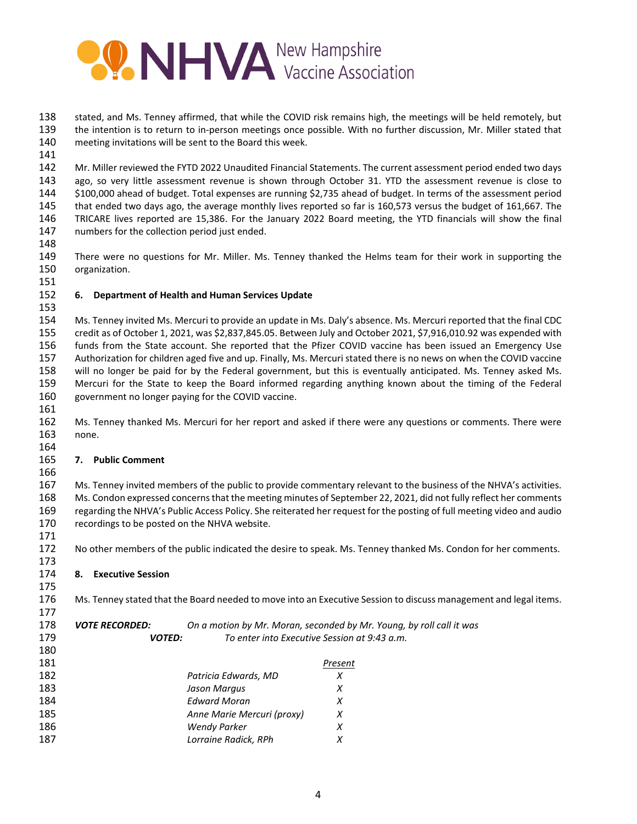

 stated, and Ms. Tenney affirmed, that while the COVID risk remains high, the meetings will be held remotely, but 139 the intention is to return to in-person meetings once possible. With no further discussion, Mr. Miller stated that meeting invitations will be sent to the Board this week.

 Mr. Miller reviewed the FYTD 2022 Unaudited Financial Statements. The current assessment period ended two days ago, so very little assessment revenue is shown through October 31. YTD the assessment revenue is close to \$100,000 ahead of budget. Total expenses are running \$2,735 ahead of budget. In terms of the assessment period that ended two days ago, the average monthly lives reported so far is 160,573 versus the budget of 161,667. The TRICARE lives reported are 15,386. For the January 2022 Board meeting, the YTD financials will show the final numbers for the collection period just ended.

 There were no questions for Mr. Miller. Ms. Tenney thanked the Helms team for their work in supporting the organization.

## **6. Department of Health and Human Services Update**

 Ms. Tenney invited Ms. Mercuri to provide an update in Ms. Daly's absence. Ms. Mercuri reported that the final CDC credit as of October 1, 2021, was \$2,837,845.05. Between July and October 2021, \$7,916,010.92 was expended with funds from the State account. She reported that the Pfizer COVID vaccine has been issued an Emergency Use Authorization for children aged five and up. Finally, Ms. Mercuri stated there is no news on when the COVID vaccine will no longer be paid for by the Federal government, but this is eventually anticipated. Ms. Tenney asked Ms. Mercuri for the State to keep the Board informed regarding anything known about the timing of the Federal government no longer paying for the COVID vaccine.

 Ms. Tenney thanked Ms. Mercuri for her report and asked if there were any questions or comments. There were none.

### **7. Public Comment**

 

 Ms. Tenney invited members of the public to provide commentary relevant to the business of the NHVA's activities. 168 Ms. Condon expressed concerns that the meeting minutes of September 22, 2021, did not fully reflect her comments regarding the NHVA's Public Access Policy. She reiterated her request for the posting of full meeting video and audio recordings to be posted on the NHVA website.

 No other members of the public indicated the desire to speak. Ms. Tenney thanked Ms. Condon for her comments. 

**8. Executive Session**

 Ms. Tenney stated that the Board needed to move into an Executive Session to discuss management and legal items.

| 178 | <b>VOTE RECORDED:</b> |                            | On a motion by Mr. Moran, seconded by Mr. Young, by roll call it was |
|-----|-----------------------|----------------------------|----------------------------------------------------------------------|
| 179 | <b>VOTED:</b>         |                            | To enter into Executive Session at 9:43 a.m.                         |
| 180 |                       |                            |                                                                      |
| 181 |                       |                            | Present                                                              |
| 182 |                       | Patricia Edwards, MD       | X                                                                    |
| 183 |                       | Jason Margus               | X                                                                    |
| 184 |                       | <b>Edward Moran</b>        | х                                                                    |
| 185 |                       | Anne Marie Mercuri (proxy) | X                                                                    |
| 186 |                       | Wendy Parker               | X                                                                    |
| 187 |                       | Lorraine Radick, RPh       |                                                                      |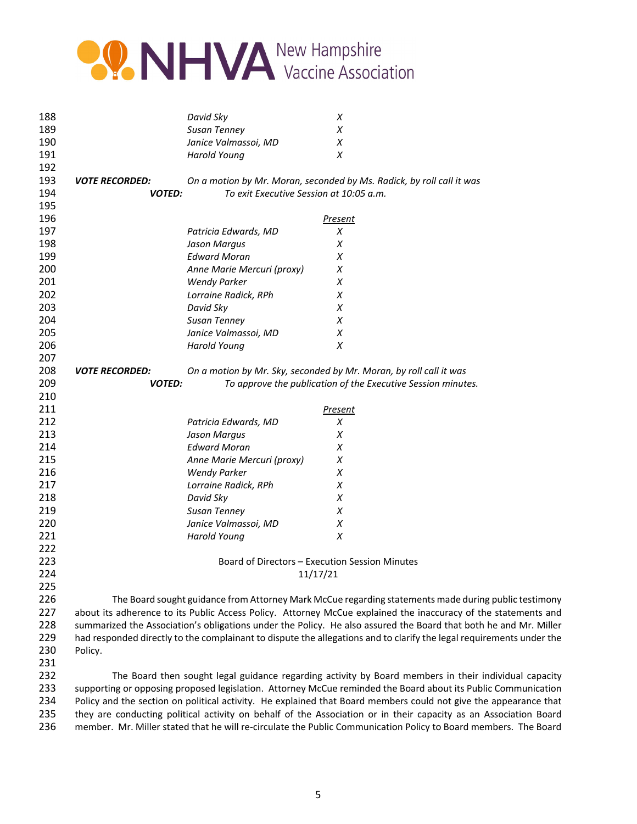

| 188 |                       | David Sky                               | X                                                                                                                    |
|-----|-----------------------|-----------------------------------------|----------------------------------------------------------------------------------------------------------------------|
| 189 |                       | <b>Susan Tenney</b>                     | X                                                                                                                    |
| 190 |                       | Janice Valmassoi, MD                    | Χ                                                                                                                    |
| 191 |                       | <b>Harold Young</b>                     | X                                                                                                                    |
| 192 |                       |                                         |                                                                                                                      |
| 193 | <b>VOTE RECORDED:</b> |                                         | On a motion by Mr. Moran, seconded by Ms. Radick, by roll call it was                                                |
| 194 | <b>VOTED:</b>         | To exit Executive Session at 10:05 a.m. |                                                                                                                      |
| 195 |                       |                                         |                                                                                                                      |
| 196 |                       |                                         | Present                                                                                                              |
| 197 |                       | Patricia Edwards, MD                    | Χ                                                                                                                    |
| 198 |                       | Jason Margus                            | Х                                                                                                                    |
| 199 |                       | <b>Edward Moran</b>                     | Х                                                                                                                    |
| 200 |                       | Anne Marie Mercuri (proxy)              | Χ                                                                                                                    |
| 201 |                       | <b>Wendy Parker</b>                     | Χ                                                                                                                    |
| 202 |                       | Lorraine Radick, RPh                    | X                                                                                                                    |
| 203 |                       | David Sky                               | X                                                                                                                    |
| 204 |                       | Susan Tenney                            | X                                                                                                                    |
| 205 |                       | Janice Valmassoi, MD                    | Χ                                                                                                                    |
| 206 |                       | Harold Young                            | X                                                                                                                    |
| 207 |                       |                                         |                                                                                                                      |
| 208 | <b>VOTE RECORDED:</b> |                                         | On a motion by Mr. Sky, seconded by Mr. Moran, by roll call it was                                                   |
| 209 | <b>VOTED:</b>         |                                         | To approve the publication of the Executive Session minutes.                                                         |
| 210 |                       |                                         |                                                                                                                      |
| 211 |                       |                                         | <b>Present</b>                                                                                                       |
| 212 |                       | Patricia Edwards, MD                    | X                                                                                                                    |
| 213 |                       | Jason Margus                            | X                                                                                                                    |
| 214 |                       | <b>Edward Moran</b>                     | Х                                                                                                                    |
| 215 |                       | Anne Marie Mercuri (proxy)              | Х                                                                                                                    |
| 216 |                       | <b>Wendy Parker</b>                     | X                                                                                                                    |
| 217 |                       | Lorraine Radick, RPh                    | Х                                                                                                                    |
| 218 |                       | David Sky                               | X                                                                                                                    |
| 219 |                       | Susan Tenney                            | Х                                                                                                                    |
| 220 |                       | Janice Valmassoi, MD                    | Χ                                                                                                                    |
| 221 |                       | <b>Harold Young</b>                     | X                                                                                                                    |
| 222 |                       |                                         |                                                                                                                      |
| 223 |                       |                                         | Board of Directors - Execution Session Minutes                                                                       |
| 224 |                       |                                         | 11/17/21                                                                                                             |
| 225 |                       |                                         |                                                                                                                      |
| 226 |                       |                                         | The Board sought guidance from Attorney Mark McCue regarding statements made during public testimony                 |
| 227 |                       |                                         | about its adherence to its Public Access Policy. Attorney McCue explained the inaccuracy of the statements and       |
| 228 |                       |                                         | summarized the Association's obligations under the Policy. He also assured the Board that both he and Mr. Miller     |
| 229 |                       |                                         | had responded directly to the complainant to dispute the allegations and to clarify the legal requirements under the |
| 230 | Policy.               |                                         |                                                                                                                      |
| 231 |                       |                                         |                                                                                                                      |
| 232 |                       |                                         | The Board then sought legal guidance regarding activity by Board members in their individual capacity                |
| 233 |                       |                                         | supporting or opposing proposed legislation. Attorney McCue reminded the Board about its Public Communication        |
| 234 |                       |                                         | Policy and the section on political activity. He explained that Board members could not give the appearance that     |
|     |                       |                                         |                                                                                                                      |

235 they are conducting political activity on behalf of the Association or in their capacity as an Association Board<br>236 member. Mr. Miller stated that he will re-circulate the Public Communication Policy to Board members. member. Mr. Miller stated that he will re-circulate the Public Communication Policy to Board members. The Board